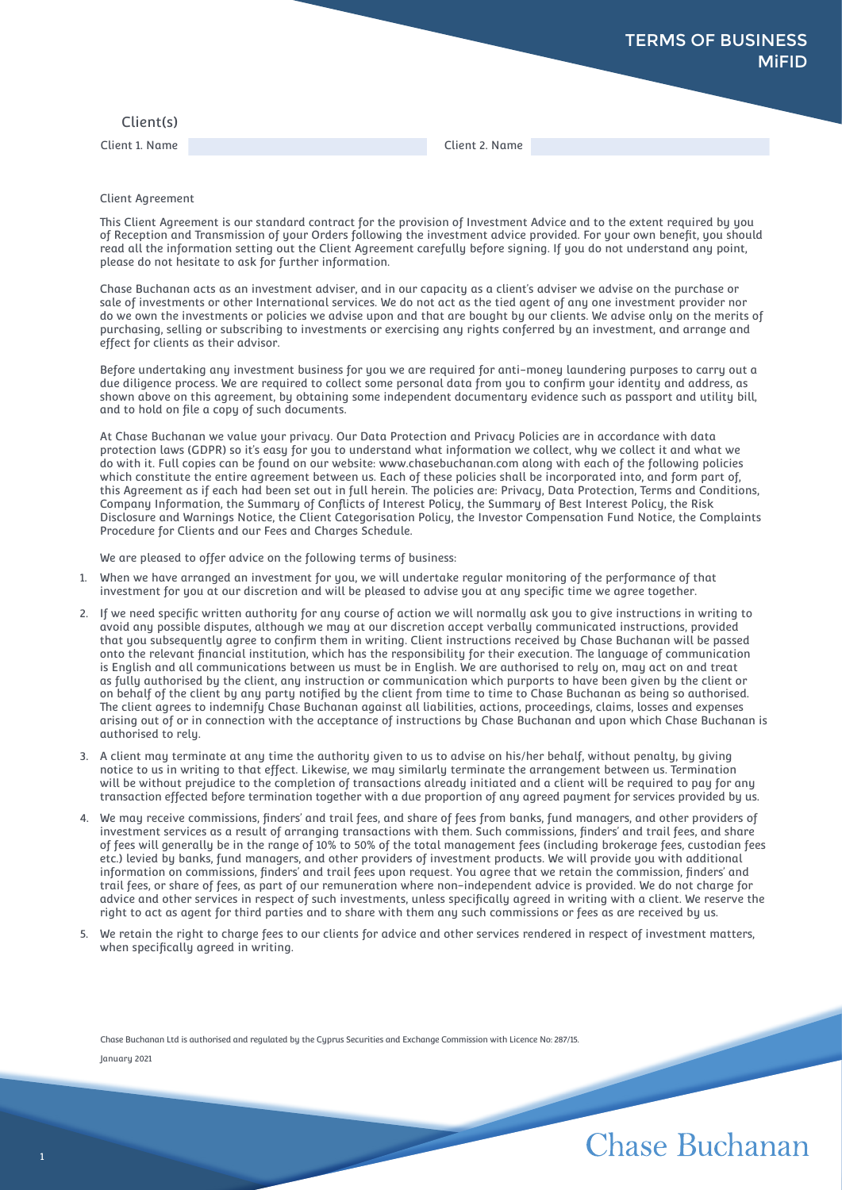## Client(s)

Client 1. Name Client 2. Name

## Client Agreement

This Client Agreement is our standard contract for the provision of Investment Advice and to the extent required by you of Reception and Transmission of your Orders following the investment advice provided. For your own benefit, you should read all the information setting out the Client Agreement carefully before signing. If you do not understand any point, please do not hesitate to ask for further information.

Chase Buchanan acts as an investment adviser, and in our capacity as a client's adviser we advise on the purchase or sale of investments or other International services. We do not act as the tied agent of any one investment provider nor do we own the investments or policies we advise upon and that are bought by our clients. We advise only on the merits of purchasing, selling or subscribing to investments or exercising any rights conferred by an investment, and arrange and effect for clients as their advisor.

Before undertaking any investment business for you we are required for anti-money laundering purposes to carry out a due diligence process. We are required to collect some personal data from you to confirm your identity and address, as shown above on this agreement, by obtaining some independent documentary evidence such as passport and utility bill, and to hold on file a copy of such documents.

At Chase Buchanan we value your privacy. Our Data Protection and Privacy Policies are in accordance with data protection laws (GDPR) so it's easy for you to understand what information we collect, why we collect it and what we do with it. Full copies can be found on our website: www.chasebuchanan.com along with each of the following policies which constitute the entire agreement between us. Each of these policies shall be incorporated into, and form part of, this Agreement as if each had been set out in full herein. The policies are: Privacy, Data Protection, Terms and Conditions, Company Information, the Summary of Conflicts of Interest Policy, the Summary of Best Interest Policy, the Risk Disclosure and Warnings Notice, the Client Categorisation Policy, the Investor Compensation Fund Notice, the Complaints Procedure for Clients and our Fees and Charges Schedule.

We are pleased to offer advice on the following terms of business:

- 1. When we have arranged an investment for you, we will undertake regular monitoring of the performance of that investment for you at our discretion and will be pleased to advise you at any specific time we agree together.
- 2. If we need specific written authority for any course of action we will normally ask you to give instructions in writing to avoid any possible disputes, although we may at our discretion accept verbally communicated instructions, provided that you subsequently agree to confirm them in writing. Client instructions received by Chase Buchanan will be passed onto the relevant financial institution, which has the responsibility for their execution. The language of communication is English and all communications between us must be in English. We are authorised to rely on, may act on and treat as fully authorised by the client, any instruction or communication which purports to have been given by the client or on behalf of the client by any party notified by the client from time to time to Chase Buchanan as being so authorised. The client agrees to indemnify Chase Buchanan against all liabilities, actions, proceedings, claims, losses and expenses arising out of or in connection with the acceptance of instructions by Chase Buchanan and upon which Chase Buchanan is authorised to rely.
- 3. A client may terminate at any time the authority given to us to advise on his/her behalf, without penalty, by giving notice to us in writing to that effect. Likewise, we may similarly terminate the arrangement between us. Termination will be without prejudice to the completion of transactions already initiated and a client will be required to pay for any transaction effected before termination together with a due proportion of any agreed payment for services provided by us.
- 4. We may receive commissions, finders' and trail fees, and share of fees from banks, fund managers, and other providers of investment services as a result of arranging transactions with them. Such commissions, finders' and trail fees, and share of fees will generally be in the range of 10% to 50% of the total management fees (including brokerage fees, custodian fees etc.) levied by banks, fund managers, and other providers of investment products. We will provide you with additional information on commissions, finders' and trail fees upon request. You agree that we retain the commission, finders' and trail fees, or share of fees, as part of our remuneration where non-independent advice is provided. We do not charge for advice and other services in respect of such investments, unless specifically agreed in writing with a client. We reserve the right to act as agent for third parties and to share with them any such commissions or fees as are received by us.
- 5. We retain the right to charge fees to our clients for advice and other services rendered in respect of investment matters, when specifically agreed in writing.

Chase Buchanan Ltd is authorised and regulated by the Cyprus Securities and Exchange Commission with Licence No: 287/15.

January 2021

## Chase Buchanan